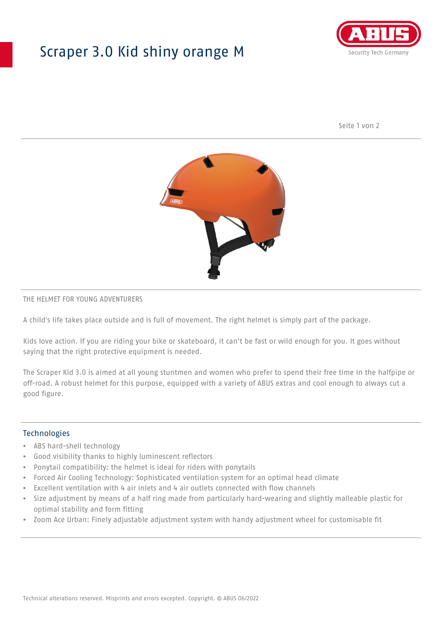## Scraper 3.0 Kid shiny orange M



Seite 1 von 2



#### THE HELMET FOR YOUNG ADVENTURERS

A child's life takes place outside and is full of movement. The right helmet is simply part of the package.

Kids love action. If you are riding your bike or skateboard, it can't be fast or wild enough for you. It goes without saying that the right protective equipment is needed.

The Scraper Kid 3.0 is aimed at all young stuntmen and women who prefer to spend their free time in the halfpipe or off-road. A robust helmet for this purpose, equipped with a variety of ABUS extras and cool enough to always cut a good figure.

#### Technologies

- ABS hard-shell technology
- Good visibility thanks to highly luminescent reflectors
- Ponytail compatibility: the helmet is ideal for riders with ponytails
- Forced Air Cooling Technology: Sophisticated ventilation system for an optimal head climate
- Excellent ventilation with 4 air inlets and 4 air outlets connected with flow channels
- Size adjustment by means of a half ring made from particularly hard-wearing and slightly malleable plastic for optimal stability and form fitting
- Zoom Ace Urban: Finely adjustable adjustment system with handy adjustment wheel for customisable fit